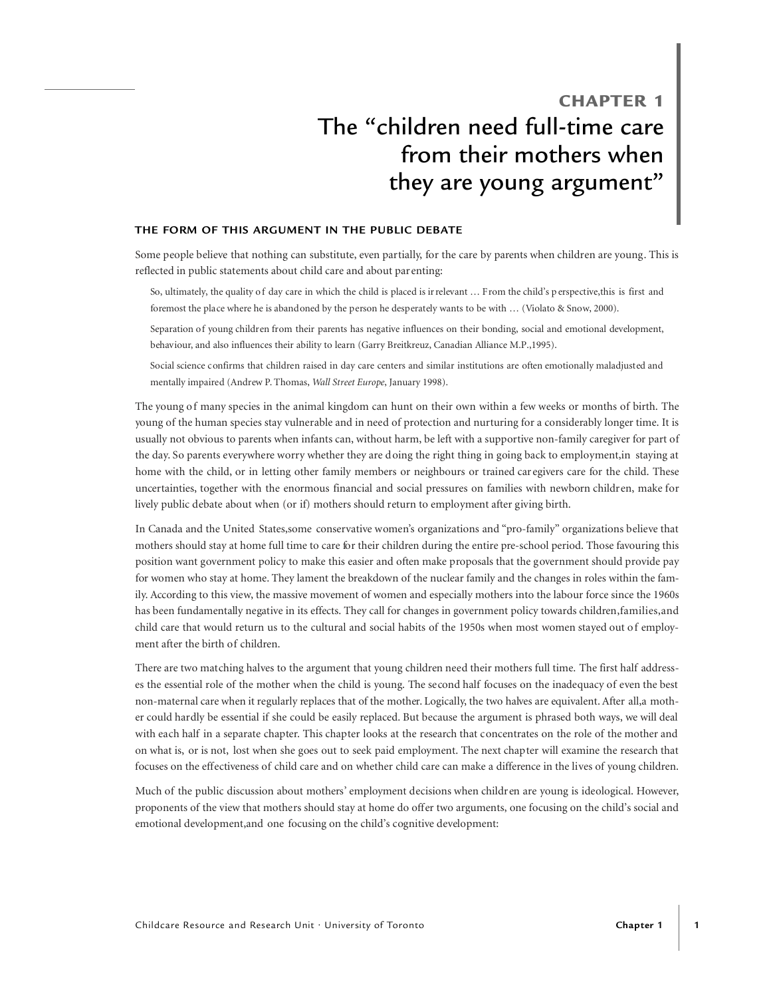# CHAPTER 1 The "children need full-time care from their mothers when they are young argument"

#### **THE FORM OF THIS ARGUMENT IN THE PUBLIC DEBATE**

Some people believe that nothing can substitute, even partially, for the care by parents when children are young. This is reflected in public statements about child care and about par enting:

- So, ultimately, the quality of day care in which the child is placed is irrelevant … From the child's p erspective,this is first and foremost the place where he is abandoned by the person he desperately wants to be with … (Violato & Snow, 2000).
- Separation of young children from their parents has negative influences on their bonding, social and emotional development, behaviour, and also influences their ability to learn (Garry Breitkreuz, Canadian Alliance M.P.,1995).
- Social science confirms that children raised in day care centers and similar institutions are often emotionally maladjusted and mentally impaired (Andrew P. Thomas, *Wall Street Europe*, January 1998).

The young of many species in the animal kingdom can hunt on their own within a few weeks or months of birth. The young of the human species stay vulnerable and in need of protection and nurturing for a considerably longer time. It is usually not obvious to parents when infants can, without harm, be left with a supportive non-family caregiver for part of the day. So parents everywhere worry whether they are doing the right thing in going back to employment,in staying at home with the child, or in letting other family members or neighbours or trained car egivers care for the child. These uncertainties, together with the enormous financial and social pressures on families with newborn children, make for lively public debate about when (or if) mothers should return to employment after giving birth.

In Canada and the United States,some conservative women's organizations and "pro-family" organizations believe that mothers should stay at home full time to care for their children during the entire pre-school period. Those favouring this position want government policy to make this easier and often make proposals that the government should provide pay for women who stay at home. They lament the breakdown of the nuclear family and the changes in roles within the family. According to this view, the massive movement of women and especially mothers into the labour force since the 1960s has been fundamentally negative in its effects. They call for changes in government policy towards children,families,and child care that would return us to the cultural and social habits of the 1950s when most women stayed out of employment after the birth of children.

There are two matching halves to the argument that young children need their mothers full time. The first half addresses the essential role of the mother when the child is young. The second half focuses on the inadequacy of even the best non-maternal care when it regularly replaces that of the mother. Logically, the two halves are equivalent. After all,a mother could hardly be essential if she could be easily replaced. But because the argument is phrased both ways, we will deal with each half in a separate chapter. This chapter looks at the research that concentrates on the role of the mother and on what is, or is not, lost when she goes out to seek paid employment. The next chapter will examine the research that focuses on the effectiveness of child care and on whether child care can make a difference in the lives of young children.

Much of the public discussion about mothers' employment decisions when children are young is ideological. However, proponents of the view that mothers should stay at home do offer two arguments, one focusing on the child's social and emotional development,and one focusing on the child's cognitive development: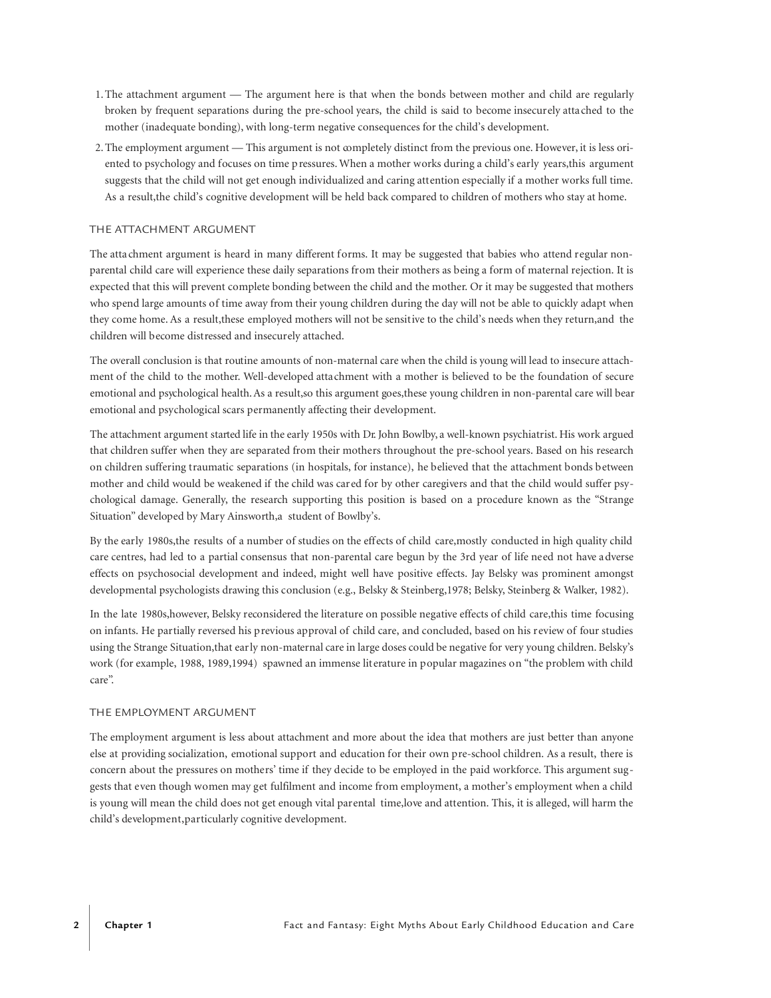- 1.The attachment argument The argument here is that when the bonds between mother and child are regularly broken by frequent separations during the pre-school years, the child is said to become insecurely attached to the mother (inadequate bonding), with long-term negative consequences for the child's development.
- 2.The employment argument This argument is not completely distinct from the previous one. However, it is less oriented to psychology and focuses on time pressures. When a mother works during a child's early years,this argument suggests that the child will not get enough individualized and caring attention especially if a mother works full time. As a result,the child's cognitive development will be held back compared to children of mothers who stay at home.

#### THE ATTACHMENT ARGUMENT

The atta chment argument is heard in many different forms. It may be suggested that babies who attend regular nonparental child care will experience these daily separations from their mothers as being a form of maternal rejection. It is expected that this will prevent complete bonding between the child and the mother. Or it may be suggested that mothers who spend large amounts of time away from their young children during the day will not be able to quickly adapt when they come home. As a result,these employed mothers will not be sensitive to the child's needs when they return,and the children will become distressed and insecurely attached.

The overall conclusion is that routine amounts of non-maternal care when the child is young will lead to insecure attachment of the child to the mother. Well-developed attachment with a mother is believed to be the foundation of secure emotional and psychological health.As a result,so this argument goes,these young children in non-parental care will bear emotional and psychological scars permanently affecting their development.

The attachment argument started life in the early 1950s with Dr. John Bowlby, a well-known psychiatrist. His work argued that children suffer when they are separated from their mothers throughout the pre-school years. Based on his research on children suffering traumatic separations (in hospitals, for instance), he believed that the attachment bonds between mother and child would be weakened if the child was cared for by other caregivers and that the child would suffer psychological damage. Generally, the research supporting this position is based on a procedure known as the "Strange Situation" developed by Mary Ainsworth,a student of Bowlby's.

By the early 1980s,the results of a number of studies on the effects of child care,mostly conducted in high quality child care centres, had led to a partial consensus that non-parental care begun by the 3rd year of life need not have adverse effects on psychosocial development and indeed, might well have positive effects. Jay Belsky was prominent amongst developmental psychologists drawing this conclusion (e.g., Belsky & Steinberg,1978; Belsky, Steinberg & Walker, 1982).

In the late 1980s,however, Belsky reconsidered the literature on possible negative effects of child care,this time focusing on infants. He partially reversed his previous approval of child care, and concluded, based on his review of four studies using the Strange Situation,that early non-maternal care in large doses could be negative for very young children. Belsky's work (for example, 1988, 1989,1994) spawned an immense lit erature in popular magazines on "the problem with child care".

#### THE EMPLOYMENT ARGUMENT

The employment argument is less about attachment and more about the idea that mothers are just better than anyone else at providing socialization, emotional support and education for their own pre-school children. As a result, there is concern about the pressures on mothers' time if they decide to be employed in the paid workforce. This argument suggests that even though women may get fulfilment and income from employment, a mother's employment when a child is young will mean the child does not get enough vital parental time,love and attention. This, it is alleged, will harm the child's development,particularly cognitive development.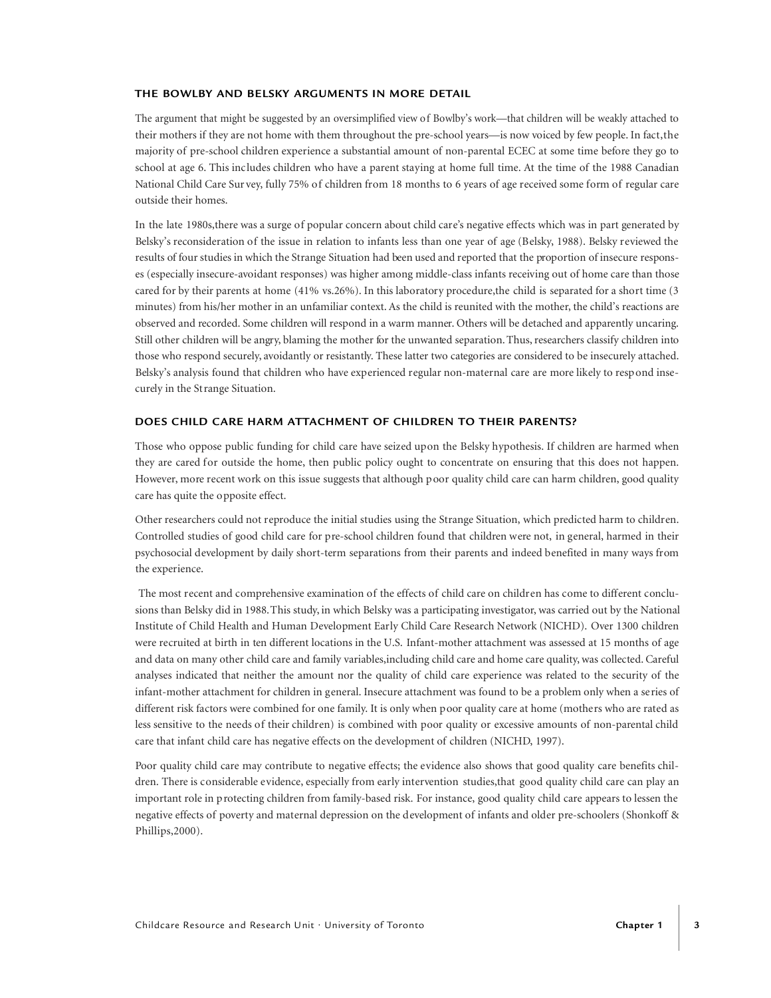# **THE BOWLBY AND BELSKY ARGUMENTS IN MORE DETAIL**

The argument that might be suggested by an oversimplified view of Bowlby's work—that children will be weakly attached to their mothers if they are not home with them throughout the pre-school years—is now voiced by few people. In fact,the majority of pre-school children experience a substantial amount of non-parental ECEC at some time before they go to school at age 6. This includes children who have a parent staying at home full time. At the time of the 1988 Canadian National Child Care Sur vey, fully 75% of children from 18 months to 6 years of age received some form of regular care outside their homes.

In the late 1980s,there was a surge of popular concern about child care's negative effects which was in part generated by Belsky's reconsideration of the issue in relation to infants less than one year of age (Belsky, 1988). Belsky reviewed the results of four studies in which the Strange Situation had been used and reported that the proportion of insecure responses (especially insecure-avoidant responses) was higher among middle-class infants receiving out of home care than those cared for by their parents at home (41% vs.26%). In this laboratory procedure,the child is separated for a short time (3 minutes) from his/her mother in an unfamiliar context. As the child is reunited with the mother, the child's reactions are observed and recorded. Some children will respond in a warm manner. Others will be detached and apparently uncaring. Still other children will be angry, blaming the mother for the unwanted separation.Thus,researchers classify children into those who respond securely, avoidantly or resistantly. These latter two categories are considered to be insecurely attached. Belsky's analysis found that children who have experienced regular non-maternal care are more likely to respond insecurely in the Strange Situation.

# **DOES CHILD CARE HARM ATTACHMENT OF CHILDREN TO THEIR PARENTS?**

Those who oppose public funding for child care have seized upon the Belsky hypothesis. If children are harmed when they are cared for outside the home, then public policy ought to concentrate on ensuring that this does not happen. However, more recent work on this issue suggests that although poor quality child care can harm children, good quality care has quite the opposite effect.

Other researchers could not reproduce the initial studies using the Strange Situation, which predicted harm to children. Controlled studies of good child care for pre-school children found that children were not, in general, harmed in their psychosocial development by daily short-term separations from their parents and indeed benefited in many ways from the experience.

The most recent and comprehensive examination of the effects of child care on children has come to different conclusions than Belsky did in 1988.This study, in which Belsky was a participating investigator, was carried out by the National Institute of Child Health and Human Development Early Child Care Research Network (NICHD). Over 1300 children were recruited at birth in ten different locations in the U.S. Infant-mother attachment was assessed at 15 months of age and data on many other child care and family variables, including child care and home care quality, was collected. Careful analyses indicated that neither the amount nor the quality of child care experience was related to the security of the infant-mother attachment for children in general. Insecure attachment was found to be a problem only when a series of different risk factors were combined for one family. It is only when poor quality care at home (mothers who are rated as less sensitive to the needs of their children) is combined with poor quality or excessive amounts of non-parental child care that infant child care has negative effects on the development of children (NICHD, 1997).

Poor quality child care may contribute to negative effects; the evidence also shows that good quality care benefits children. There is considerable evidence, especially from early intervention studies,that good quality child care can play an important role in protecting children from family-based risk. For instance, good quality child care appears to lessen the negative effects of poverty and maternal depression on the development of infants and older pre-schoolers (Shonkoff & Phillips,2000).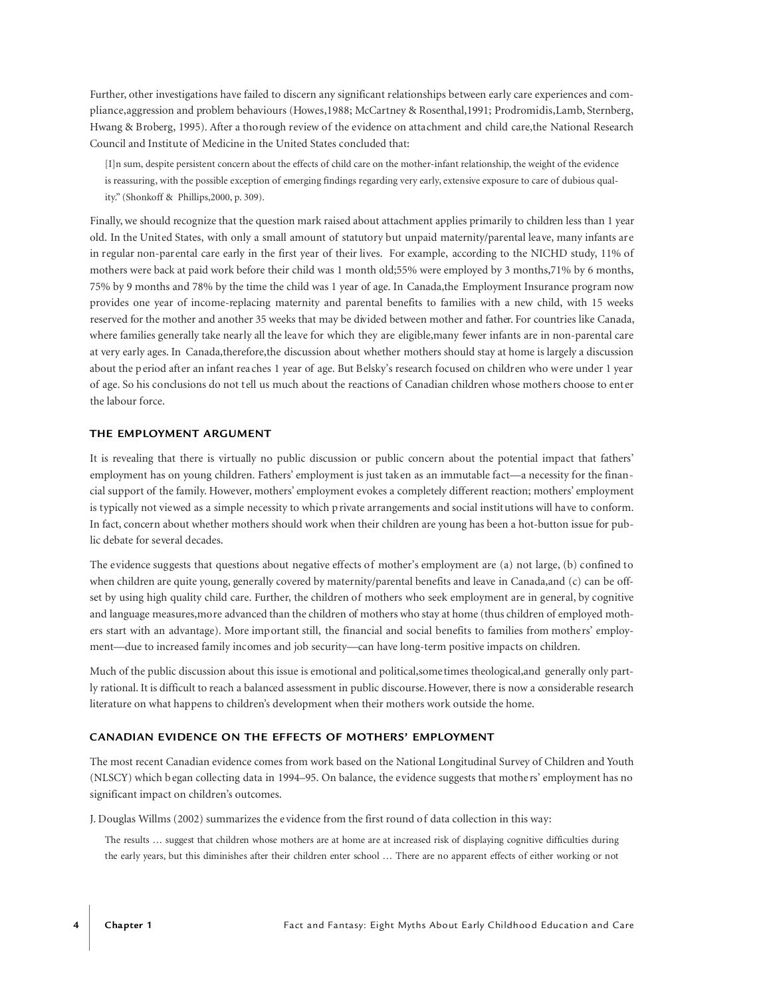Further, other investigations have failed to discern any significant relationships between early care experiences and compliance,aggression and problem behaviours (Howes,1988; McCartney & Rosenthal,1991; Prodromidis,Lamb, Sternberg, Hwang & Broberg, 1995). After a thorough review of the evidence on attachment and child care,the National Research Council and Institute of Medicine in the United States concluded that:

[I]n sum, despite persistent concern about the effects of child care on the mother-infant relationship, the weight of the evidence is reassuring, with the possible exception of emerging findings regarding very early, extensive exposure to care of dubious quality." (Shonkoff & Phillips,2000, p. 309).

Finally, we should recognize that the question mark raised about attachment applies primarily to children less than 1 year old. In the United States, with only a small amount of statutory but unpaid maternity/parental leave, many infants are in regular non-parental care early in the first year of their lives. For example, according to the NICHD study, 11% of mothers were back at paid work before their child was 1 month old;55% were employed by 3 months,71% by 6 months, 75% by 9 months and 78% by the time the child was 1 year of age. In Canada,the Employment Insurance program now provides one year of income-replacing maternity and parental benefits to families with a new child, with 15 weeks reserved for the mother and another 35 weeks that may be divided between mother and father. For countries like Canada, where families generally take nearly all the leave for which they are eligible,many fewer infants are in non-parental care at very early ages. In Canada,therefore,the discussion about whether mothers should stay at home is largely a discussion about the period after an infant reaches 1 year of age. But Belsky's research focused on children who were under 1 year of age. So his conclusions do not tell us much about the reactions of Canadian children whose mothers choose to enter the labour force.

#### **THE EMPLOYMENT ARGUMENT**

It is revealing that there is virtually no public discussion or public concern about the potential impact that fathers' employment has on young children. Fathers' employment is just taken as an immutable fact—a necessity for the financial support of the family. However, mothers' employment evokes a completely different reaction; mothers' employment is typically not viewed as a simple necessity to which private arrangements and social institutions will have to conform. In fact, concern about whether mothers should work when their children are young has been a hot-button issue for public debate for several decades.

The evidence suggests that questions about negative effects of mother's employment are (a) not large, (b) confined to when children are quite young, generally covered by maternity/parental benefits and leave in Canada,and (c) can be offset by using high quality child care. Further, the children of mothers who seek employment are in general, by cognitive and language measures,more advanced than the children of mothers who stay at home (thus children of employed mothers start with an advantage). More important still, the financial and social benefits to families from mothers' employment—due to increased family incomes and job security—can have long-term positive impacts on children.

Much of the public discussion about this issue is emotional and political,sometimes theological,and generally only partly rational. It is difficult to reach a balanced assessment in public discourse.However, there is now a considerable research literature on what happens to children's development when their mothers work outside the home.

#### **CANADIAN EVIDENCE ON THE EFFECTS OF MOTHERS' EMPLOYMENT**

The most recent Canadian evidence comes from work based on the National Longitudinal Survey of Children and Youth (NLSCY) which began collecting data in 1994–95. On balance, the evidence suggests that mothe rs' employment has no significant impact on children's outcomes.

J. Douglas Willms (2002) summarizes the e vidence from the first round of data collection in this way:

The results ... suggest that children whose mothers are at home are at increased risk of displaying cognitive difficulties during the early years, but this diminishes after their children enter school ... There are no apparent effects of either working or not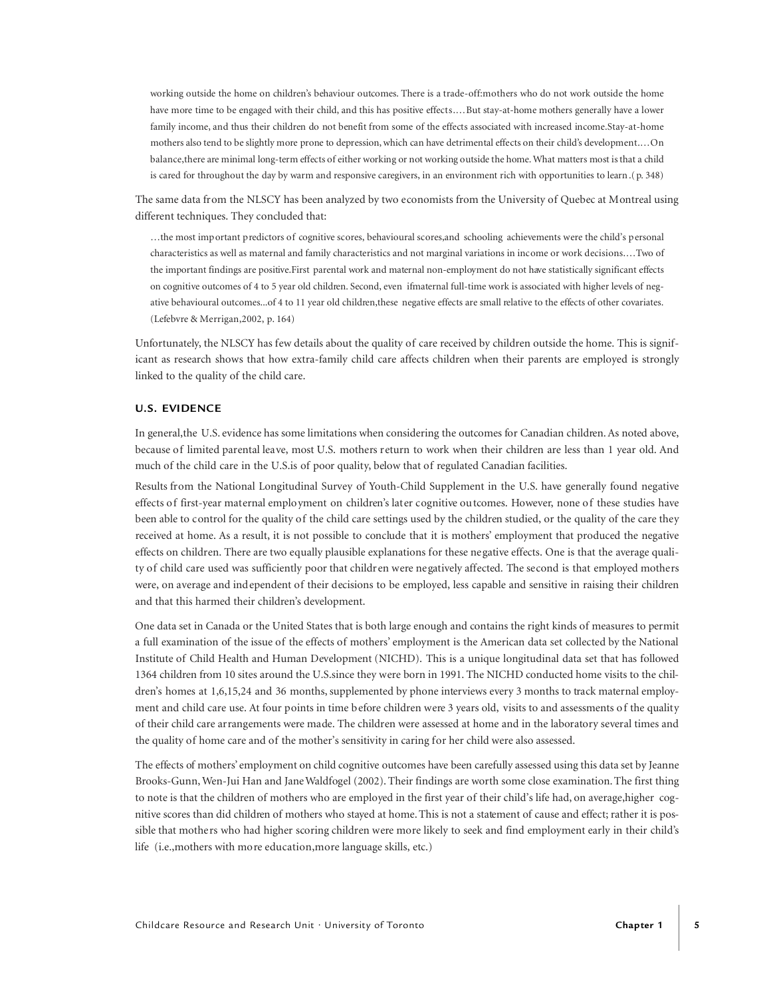working outside the home on children's behaviour outcomes. There is a trade-off:mothers who do not work outside the home have more time to be engaged with their child, and this has positive effects.... But stay-at-home mothers generally have a lower family income, and thus their children do not benefit from some of the effects associated with increased income. Stay-at-home mothers also tend to be slightly more prone to depression, which can have detrimental effects on their child's development.... On balance, there are minimal long-term effects of either working or not working outside the home. What matters most is that a child is cared for throughout the day by warm and responsive caregivers, in an environment rich with opportunities to learn .( $p. 348$ )

The same data from the NLSCY has been analyzed by two economists from the University of Quebec at Montreal using different techniques. They concluded that:

…the most important predictors of cognitive scores, behavioural scores,and schooling achievements were the child's personal characteristics as well as maternal and family characteristics and not marginal variations in income or work decisions.…Two of the important findings are positive.First parental work and maternal non-employment do not have statistically significant effects on cognitive outcomes of 4 to 5 year old children. Second, even ifmaternal full-time work is associated with higher levels of negative behavioural outcomes...of 4 to 11 year old children,these negative effects are small relative to the effects of other covariates. (Lefebvre & Merrigan,2002, p. 164)

Unfortunately, the NLSCY has few details about the quality of care received by children outside the home. This is significant as research shows that how extra-family child care affects children when their parents are employed is strongly linked to the quality of the child care.

# **U.S. EVIDENCE**

In general, the U.S. evidence has some limitations when considering the outcomes for Canadian children. As noted above, because of limited parental leave, most U.S. mothers return to work when their children are less than 1 year old. And much of the child care in the U.S.is of poor quality, below that of regulated Canadian facilities.

Results from the National Longitudinal Survey of Youth-Child Supplement in the U.S. have generally found negative effects of first-year maternal employment on children's later cognitive outcomes. However, none of these studies have been able to control for the quality of the child care settings used by the children studied, or the quality of the care they received at home. As a result, it is not possible to conclude that it is mothers' employment that produced the negative effects on children. There are two equally plausible explanations for these negative effects. One is that the average quality of child care used was sufficiently poor that children were negatively affected. The second is that employed mothers were, on average and independent of their decisions to be employed, less capable and sensitive in raising their children and that this harmed their children's development.

One data set in Canada or the United States that is both large enough and contains the right kinds of measures to permit a full examination of the issue of the effects of mothers' employment is the American data set collected by the National Institute of Child Health and Human Development (NICHD). This is a unique longitudinal data set that has followed 1364 children from 10 sites around the U.S.since they were born in 1991. The NICHD conducted home visits to the children's homes at 1,6,15,24 and 36 months, supplemented by phone interviews every 3 months to track maternal employment and child care use. At four points in time before children were 3 years old, visits to and assessments of the quality of their child care arrangements were made. The children were assessed at home and in the laboratory several times and the quality of home care and of the mother's sensitivity in caring for her child were also assessed.

The effects of mothers' employment on child cognitive outcomes have been carefully assessed using this data set by Jeanne Brooks-Gunn, Wen-Jui Han and Jane Waldfogel (2002). Their findings are worth some close examination.The first thing to note is that the children of mothers who are employed in the first year of their child's life had, on average,higher cognitive scores than did children of mothers who stayed at home.This is not a statement of cause and effect; rather it is possible that mothers who had higher scoring children were more likely to seek and find employment early in their child's life (i.e.,mothers with more education,more language skills, etc.)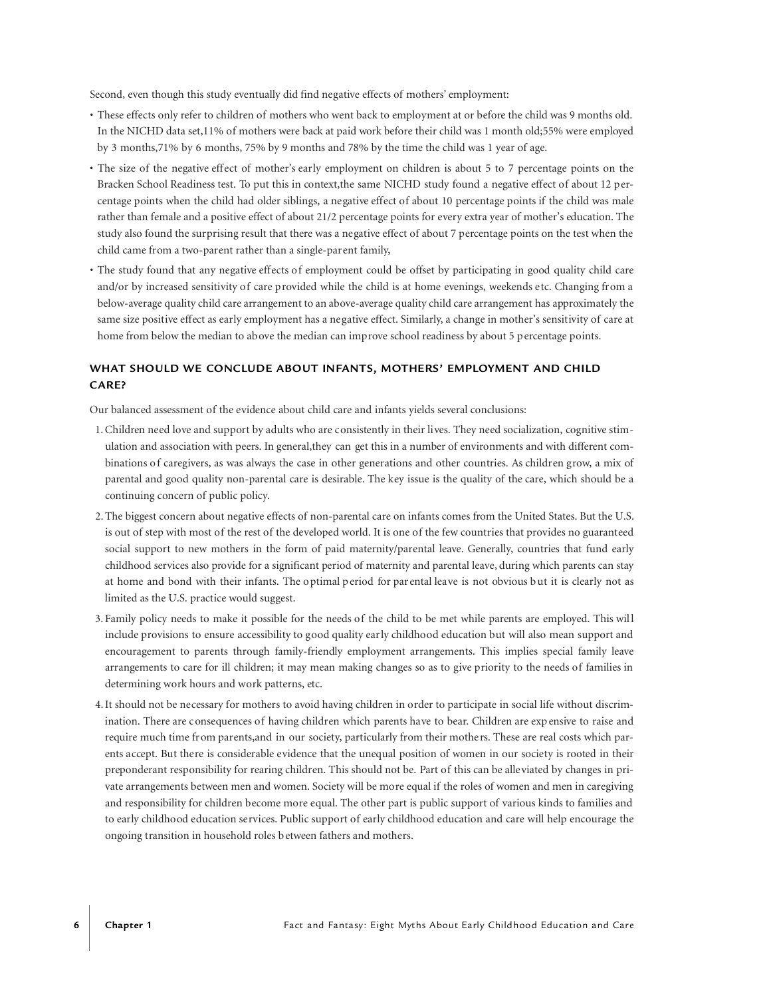Second, even though this study eventually did find negative effects of mothers' employment:

- These effects only refer to children of mothers who went back to employment at or before the child was 9 months old. In the NICHD data set,11% of mothers were back at paid work before their child was 1 month old;55% were employed by 3 months,71% by 6 months, 75% by 9 months and 78% by the time the child was 1 year of age.
- The size of the negative effect of mother's early employment on children is about 5 to 7 percentage points on the Bracken School Readiness test. To put this in context,the same NICHD study found a negative effect of about 12 percentage points when the child had older siblings, a negative effect of about 10 percentage points if the child was male rather than female and a positive effect of about 21/2 percentage points for every extra year of mother's education. The study also found the surprising result that there was a negative effect of about 7 percentage points on the test when the child came from a two-parent rather than a single-parent family,
- The study found that any negative effects of employment could be offset by participating in good quality child care and/or by increased sensitivity of care provided while the child is at home evenings, weekends etc. Changing from a below-average quality child care arrangement to an above-average quality child care arrangement has approximately the same size positive effect as early employment has a negative effect. Similarly, a change in mother's sensitivity of care at home from below the median to above the median can improve school readiness by about 5 percentage points.

# WHAT SHOULD WE CONCLUDE ABOUT INFANTS, MOTHERS' EMPLOYMENT AND CHILD **CA R E ?**

Our balanced assessment of the evidence about child care and infants yields several conclusions:

- 1.Children need love and support by adults who are consistently in their lives. They need socialization, cognitive stimulation and association with peers. In general,they can get this in a number of environments and with different combinations of caregivers, as was always the case in other generations and other countries. As children grow, a mix of parental and good quality non-parental care is desirable. The key issue is the quality of the care, which should be a continuing concern of public policy.
- 2.The biggest concern about negative effects of non-parental care on infants comes from the United States. But the U.S. is out of step with most of the rest of the developed world. It is one of the few countries that provides no guaranteed social support to new mothers in the form of paid maternity/parental leave. Generally, countries that fund early childhood services also provide for a significant period of maternity and parental leave, during which parents can stay at home and bond with their infants. The optimal period for par ental leave is not obvious but it is clearly not as limited as the U.S. practice would suggest.
- 3. Family policy needs to make it possible for the needs of the child to be met while parents are employed. This will include provisions to ensure accessibility to good quality early childhood education but will also mean support and encouragement to parents through family-friendly employment arrangements. This implies special family leave arrangements to care for ill children; it may mean making changes so as to give priority to the needs of families in determining work hours and work patterns, etc.
- 4.It should not be necessary for mothers to avoid having children in order to participate in social life without discrimination. There are consequences of having children which parents have to bear. Children are exp ensive to raise and require much time from parents,and in our society, particularly from their mothers. These are real costs which parents accept. But there is considerable evidence that the unequal position of women in our society is rooted in their preponderant responsibility for rearing children. This should not be. Part of this can be alleviated by changes in private arrangements between men and women. Society will be more equal if the roles of women and men in caregiving and responsibility for children become more equal. The other part is public support of various kinds to families and to early childhood education services. Public support of early childhood education and care will help encourage the ongoing transition in household roles between fathers and mothers.